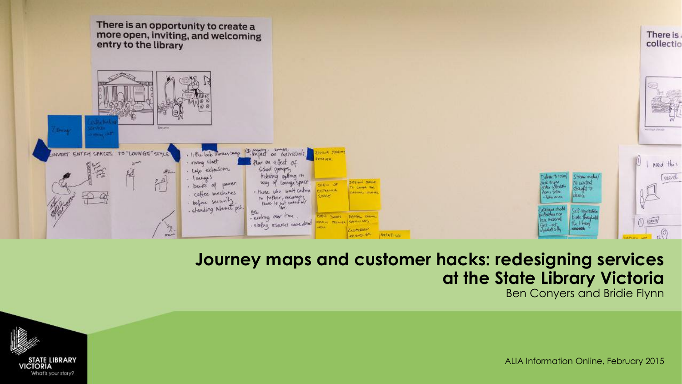

#### **Journey maps and customer hacks: redesigning services at the State Library Victoria** Ben Conyers and Bridie Flynn



ALIA Information Online, February 2015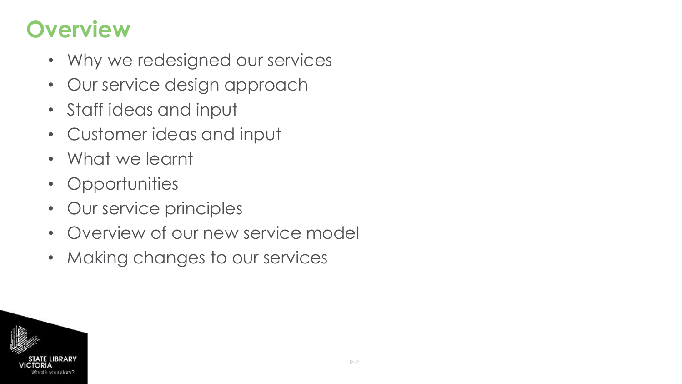# **Overview**

- Why we redesigned our services
- Our service design approach
- Staff ideas and input
- Customer ideas and input
- What we learnt
- Opportunities
- Our service principles
- Overview of our new service model
- Making changes to our services

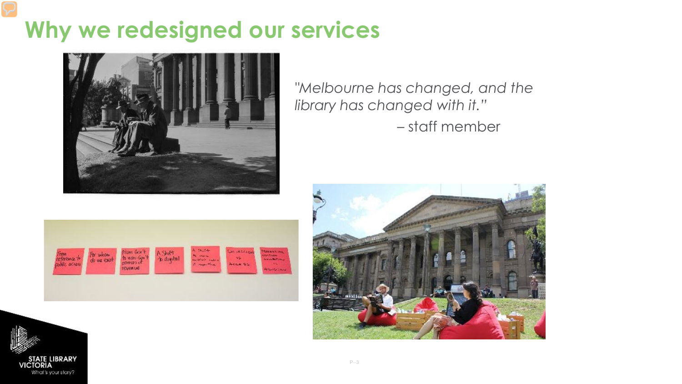### **Why we redesigned our services**



*"Melbourne has changed, and the library has changed with it."*  – staff member





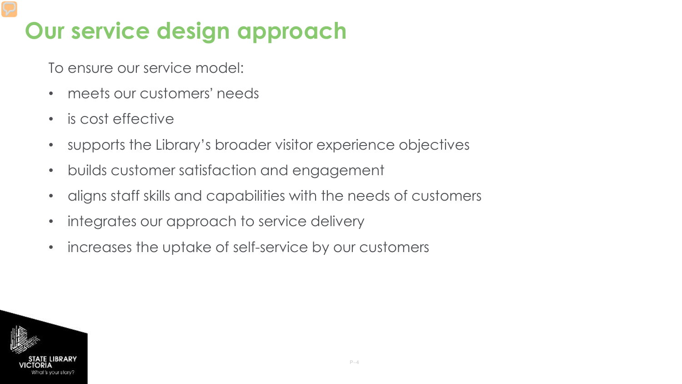# **Our service design approach**

To ensure our service model:

- meets our customers' needs
- is cost effective
- supports the Library's broader visitor experience objectives
- builds customer satisfaction and engagement
- aligns staff skills and capabilities with the needs of customers
- integrates our approach to service delivery
- increases the uptake of self-service by our customers

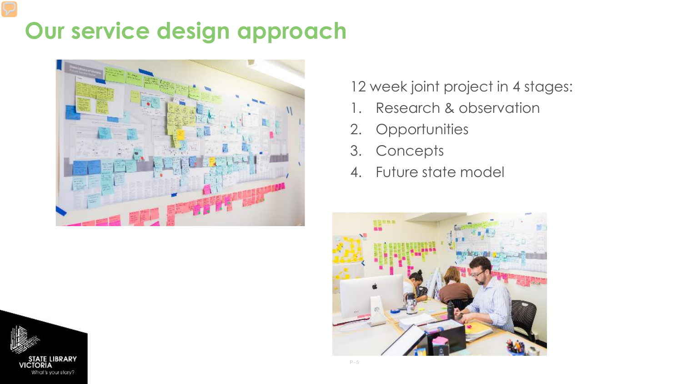## **Our service design approach**



### 12 week joint project in 4 stages:

- 1. Research & observation
- 2. Opportunities
- 3. Concepts
- 4. Future state model



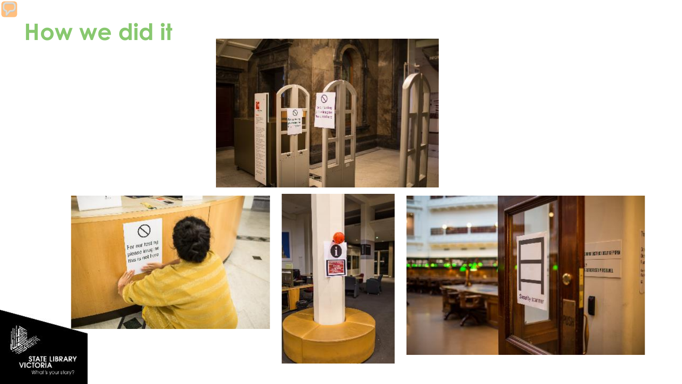### How we did it

STATE LIBRARY<br>VICTORIA<br>What's your stary?







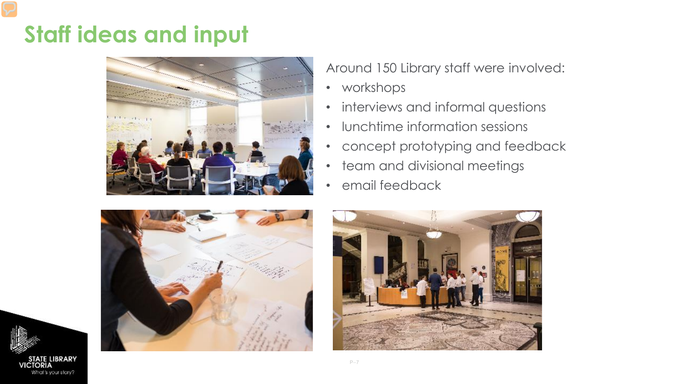## **Staff ideas and input**



Around 150 Library staff were involved:

- workshops
- interviews and informal questions
- lunchtime information sessions
- concept prototyping and feedback
- team and divisional meetings
- email feedback





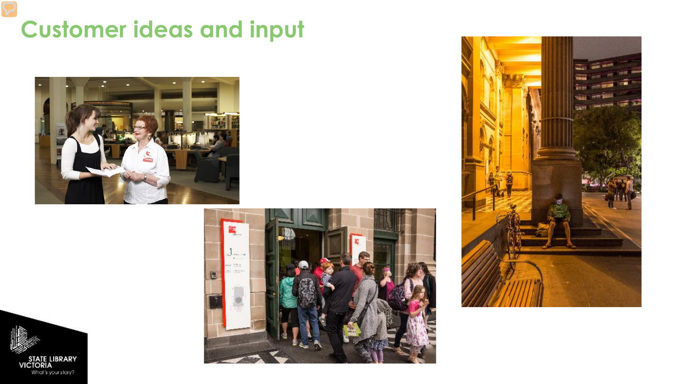## **Customer ideas and input**







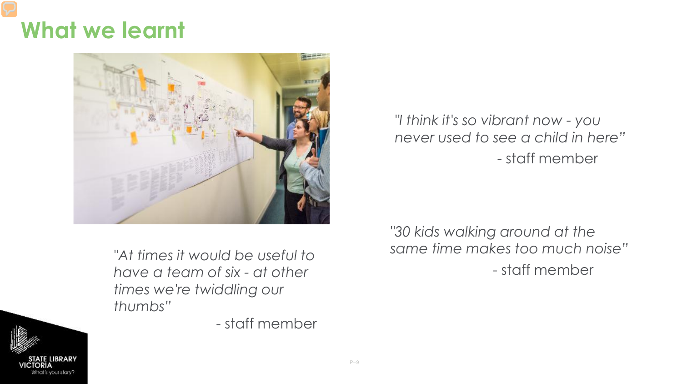### **What we learnt**



*"At times it would be useful to have a team of six - at other times we're twiddling our thumbs"*

- staff member

*"I think it's so vibrant now - you never used to see a child in here"* - staff member

*"30 kids walking around at the same time makes too much noise"* - staff member

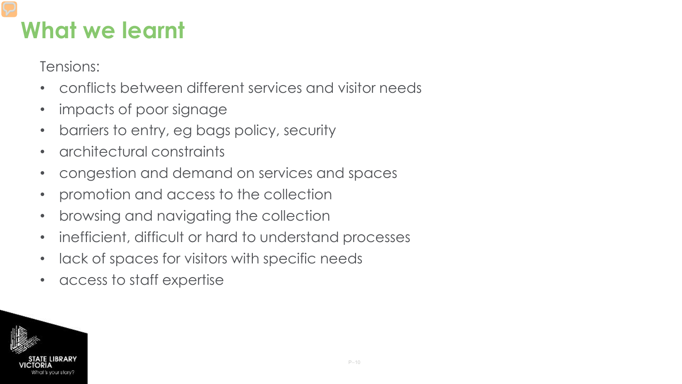### **What we learnt**

Tensions:

- conflicts between different services and visitor needs
- impacts of poor signage
- barriers to entry, eg bags policy, security
- architectural constraints
- congestion and demand on services and spaces
- promotion and access to the collection
- browsing and navigating the collection
- inefficient, difficult or hard to understand processes
- lack of spaces for visitors with specific needs
- access to staff expertise

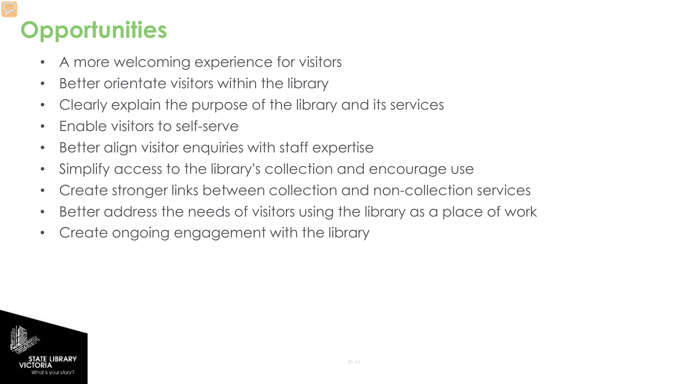# **Opportunities**

- A more welcoming experience for visitors
- Better orientate visitors within the library
- Clearly explain the purpose of the library and its services
- Enable visitors to self-serve
- Better align visitor enquiries with staff expertise
- Simplify access to the library's collection and encourage use
- Create stronger links between collection and non-collection services
- Better address the needs of visitors using the library as a place of work
- Create ongoing engagement with the library

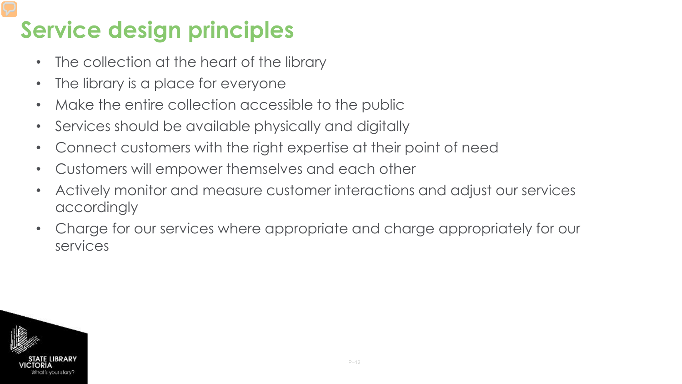# **Service design principles**

- The collection at the heart of the library
- The library is a place for everyone
- Make the entire collection accessible to the public
- Services should be available physically and digitally
- Connect customers with the right expertise at their point of need
- Customers will empower themselves and each other
- Actively monitor and measure customer interactions and adjust our services accordingly
- Charge for our services where appropriate and charge appropriately for our services

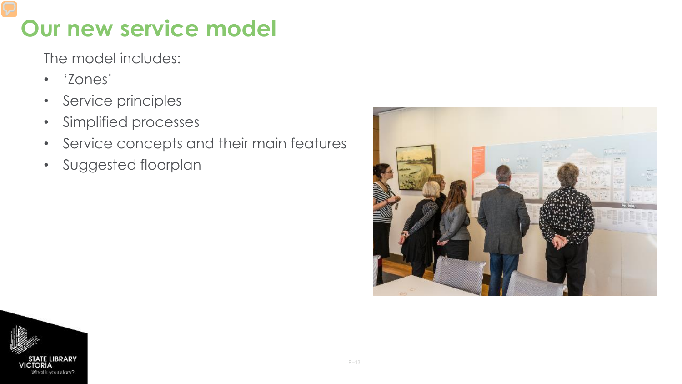## **Our new service model**

The model includes:

- 'Zones'
- Service principles
- Simplified processes
- Service concepts and their main features
- Suggested floorplan



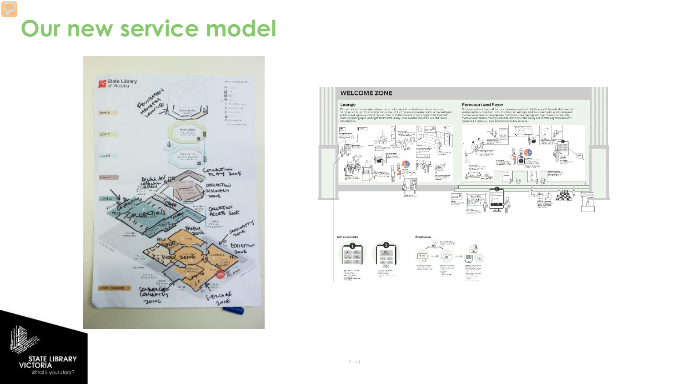## Our new service model





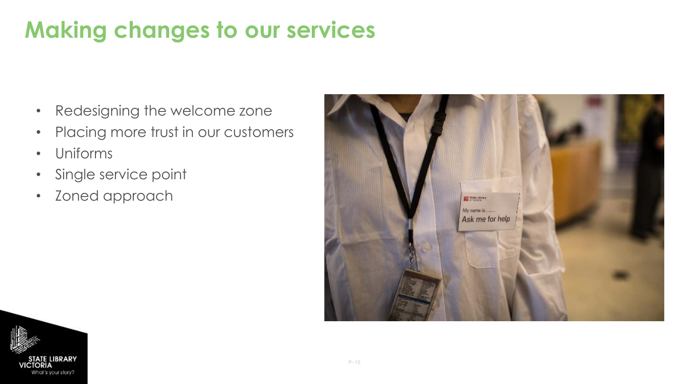# **Making changes to our services**

- Redesigning the welcome zone
- Placing more trust in our customers
- Uniforms
- Single service point
- Zoned approach